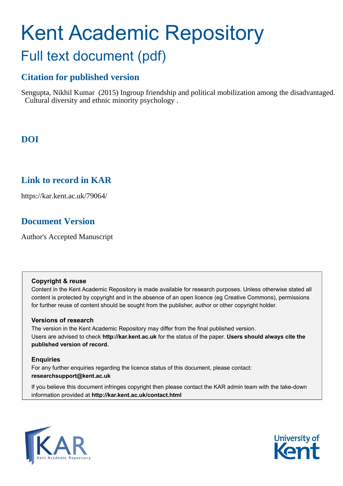# Kent Academic Repository Full text document (pdf)

# **Citation for published version**

Sengupta, Nikhil Kumar (2015) Ingroup friendship and political mobilization among the disadvantaged. Cultural diversity and ethnic minority psychology .

# **DOI**

# **Link to record in KAR**

https://kar.kent.ac.uk/79064/

# **Document Version**

Author's Accepted Manuscript

## **Copyright & reuse**

Content in the Kent Academic Repository is made available for research purposes. Unless otherwise stated all content is protected by copyright and in the absence of an open licence (eg Creative Commons), permissions for further reuse of content should be sought from the publisher, author or other copyright holder.

# **Versions of research**

The version in the Kent Academic Repository may differ from the final published version. Users are advised to check **http://kar.kent.ac.uk** for the status of the paper. **Users should always cite the published version of record.**

# **Enquiries**

For any further enquiries regarding the licence status of this document, please contact: **researchsupport@kent.ac.uk**

If you believe this document infringes copyright then please contact the KAR admin team with the take-down information provided at **http://kar.kent.ac.uk/contact.html**



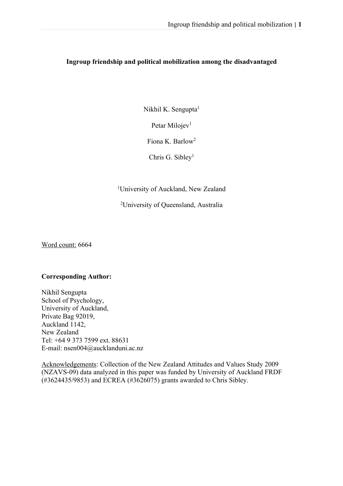# **Ingroup friendship and political mobilization among the disadvantaged**

Nikhil K. Sengupta<sup>1</sup>

Petar Milojev<sup>1</sup>

Fiona K. Barlow2

Chris G. Sibley<sup>1</sup>

<sup>1</sup>University of Auckland, New Zealand

<sup>2</sup>University of Queensland, Australia

Word count: 6664

# **Corresponding Author:**

Nikhil Sengupta School of Psychology, University of Auckland, Private Bag 92019, Auckland 1142, New Zealand Tel: +64 9 373 7599 ext. 88631 E-mail: nsen004@aucklanduni.ac.nz

Acknowledgements: Collection of the New Zealand Attitudes and Values Study 2009 (NZAVS-09) data analyzed in this paper was funded by University of Auckland FRDF (#3624435/9853) and ECREA (#3626075) grants awarded to Chris Sibley.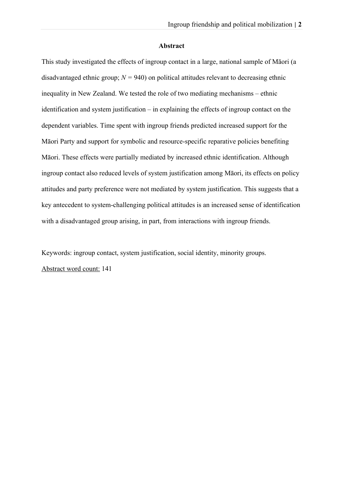#### **Abstract**

This study investigated the effects of ingroup contact in a large, national sample of Māori (a disadvantaged ethnic group;  $N = 940$ ) on political attitudes relevant to decreasing ethnic inequality in New Zealand. We tested the role of two mediating mechanisms – ethnic identification and system justification – in explaining the effects of ingroup contact on the dependent variables. Time spent with ingroup friends predicted increased support for the Māori Party and support for symbolic and resource-specific reparative policies benefiting Māori. These effects were partially mediated by increased ethnic identification. Although ingroup contact also reduced levels of system justification among Māori, its effects on policy attitudes and party preference were not mediated by system justification. This suggests that a key antecedent to system-challenging political attitudes is an increased sense of identification with a disadvantaged group arising, in part, from interactions with ingroup friends.

Keywords: ingroup contact, system justification, social identity, minority groups. Abstract word count: 141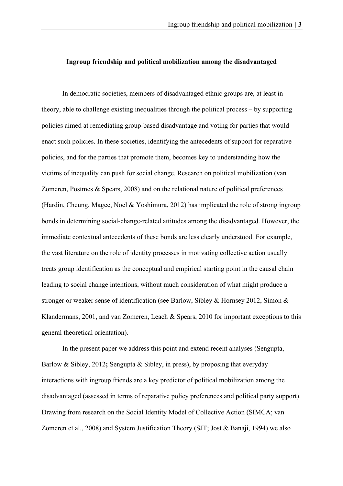#### **Ingroup friendship and political mobilization among the disadvantaged**

In democratic societies, members of disadvantaged ethnic groups are, at least in theory, able to challenge existing inequalities through the political process – by supporting policies aimed at remediating group-based disadvantage and voting for parties that would enact such policies. In these societies, identifying the antecedents of support for reparative policies, and for the parties that promote them, becomes key to understanding how the victims of inequality can push for social change. Research on political mobilization (van Zomeren, Postmes & Spears, 2008) and on the relational nature of political preferences (Hardin, Cheung, Magee, Noel & Yoshimura, 2012) has implicated the role of strong ingroup bonds in determining social-change-related attitudes among the disadvantaged. However, the immediate contextual antecedents of these bonds are less clearly understood. For example, the vast literature on the role of identity processes in motivating collective action usually treats group identification as the conceptual and empirical starting point in the causal chain leading to social change intentions, without much consideration of what might produce a stronger or weaker sense of identification (see Barlow, Sibley & Hornsey 2012, Simon & Klandermans, 2001, and van Zomeren, Leach & Spears, 2010 for important exceptions to this general theoretical orientation).

In the present paper we address this point and extend recent analyses (Sengupta, Barlow & Sibley, 2012**;** Sengupta & Sibley, in press), by proposing that everyday interactions with ingroup friends are a key predictor of political mobilization among the disadvantaged (assessed in terms of reparative policy preferences and political party support). Drawing from research on the Social Identity Model of Collective Action (SIMCA; van Zomeren et al., 2008) and System Justification Theory (SJT; Jost & Banaji, 1994) we also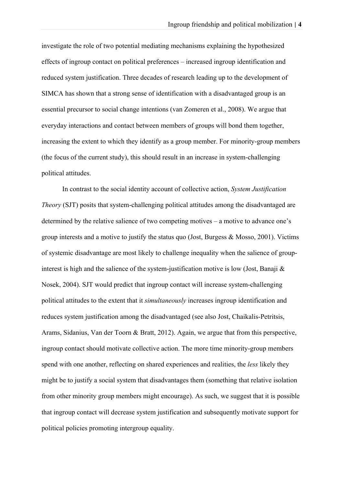investigate the role of two potential mediating mechanisms explaining the hypothesized effects of ingroup contact on political preferences – increased ingroup identification and reduced system justification. Three decades of research leading up to the development of SIMCA has shown that a strong sense of identification with a disadvantaged group is an essential precursor to social change intentions (van Zomeren et al., 2008). We argue that everyday interactions and contact between members of groups will bond them together, increasing the extent to which they identify as a group member. For minority-group members (the focus of the current study), this should result in an increase in system-challenging political attitudes.

In contrast to the social identity account of collective action, *System Justification Theory* (SJT) posits that system-challenging political attitudes among the disadvantaged are determined by the relative salience of two competing motives – a motive to advance one's group interests and a motive to justify the status quo (Jost, Burgess & Mosso, 2001). Victims of systemic disadvantage are most likely to challenge inequality when the salience of groupinterest is high and the salience of the system-justification motive is low (Jost, Banaji & Nosek, 2004). SJT would predict that ingroup contact will increase system-challenging political attitudes to the extent that it *simultaneously* increases ingroup identification and reduces system justification among the disadvantaged (see also Jost, Chaikalis-Petritsis, Arams, Sidanius, Van der Toorn & Bratt, 2012). Again, we argue that from this perspective, ingroup contact should motivate collective action. The more time minority-group members spend with one another, reflecting on shared experiences and realities, the *less* likely they might be to justify a social system that disadvantages them (something that relative isolation from other minority group members might encourage). As such, we suggest that it is possible that ingroup contact will decrease system justification and subsequently motivate support for political policies promoting intergroup equality.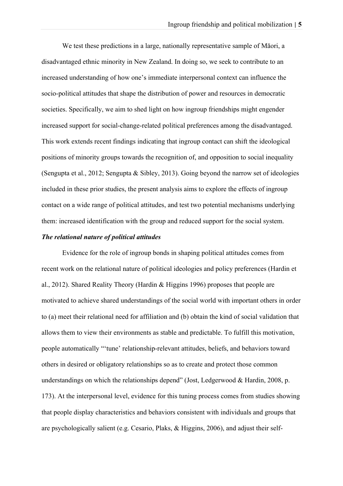We test these predictions in a large, nationally representative sample of Māori, a disadvantaged ethnic minority in New Zealand. In doing so, we seek to contribute to an increased understanding of how one's immediate interpersonal context can influence the socio-political attitudes that shape the distribution of power and resources in democratic societies. Specifically, we aim to shed light on how ingroup friendships might engender increased support for social-change-related political preferences among the disadvantaged. This work extends recent findings indicating that ingroup contact can shift the ideological positions of minority groups towards the recognition of, and opposition to social inequality (Sengupta et al., 2012; Sengupta & Sibley, 2013). Going beyond the narrow set of ideologies included in these prior studies, the present analysis aims to explore the effects of ingroup contact on a wide range of political attitudes, and test two potential mechanisms underlying them: increased identification with the group and reduced support for the social system.

## *The relational nature of political attitudes*

Evidence for the role of ingroup bonds in shaping political attitudes comes from recent work on the relational nature of political ideologies and policy preferences (Hardin et al., 2012). Shared Reality Theory (Hardin & Higgins 1996) proposes that people are motivated to achieve shared understandings of the social world with important others in order to (a) meet their relational need for affiliation and (b) obtain the kind of social validation that allows them to view their environments as stable and predictable. To fulfill this motivation, people automatically "'tune' relationship-relevant attitudes, beliefs, and behaviors toward others in desired or obligatory relationships so as to create and protect those common understandings on which the relationships depend" (Jost, Ledgerwood & Hardin, 2008, p. 173). At the interpersonal level, evidence for this tuning process comes from studies showing that people display characteristics and behaviors consistent with individuals and groups that are psychologically salient (e.g. Cesario, Plaks, & Higgins, 2006), and adjust their self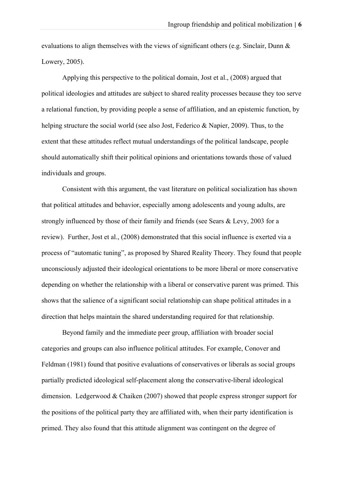evaluations to align themselves with the views of significant others (e.g. Sinclair, Dunn & Lowery, 2005).

Applying this perspective to the political domain, Jost et al., (2008) argued that political ideologies and attitudes are subject to shared reality processes because they too serve a relational function, by providing people a sense of affiliation, and an epistemic function, by helping structure the social world (see also Jost, Federico & Napier, 2009). Thus, to the extent that these attitudes reflect mutual understandings of the political landscape, people should automatically shift their political opinions and orientations towards those of valued individuals and groups.

Consistent with this argument, the vast literature on political socialization has shown that political attitudes and behavior, especially among adolescents and young adults, are strongly influenced by those of their family and friends (see Sears & Levy, 2003 for a review). Further, Jost et al., (2008) demonstrated that this social influence is exerted via a process of "automatic tuning", as proposed by Shared Reality Theory. They found that people unconsciously adjusted their ideological orientations to be more liberal or more conservative depending on whether the relationship with a liberal or conservative parent was primed. This shows that the salience of a significant social relationship can shape political attitudes in a direction that helps maintain the shared understanding required for that relationship.

Beyond family and the immediate peer group, affiliation with broader social categories and groups can also influence political attitudes. For example, Conover and Feldman (1981) found that positive evaluations of conservatives or liberals as social groups partially predicted ideological self-placement along the conservative-liberal ideological dimension. Ledgerwood & Chaiken (2007) showed that people express stronger support for the positions of the political party they are affiliated with, when their party identification is primed. They also found that this attitude alignment was contingent on the degree of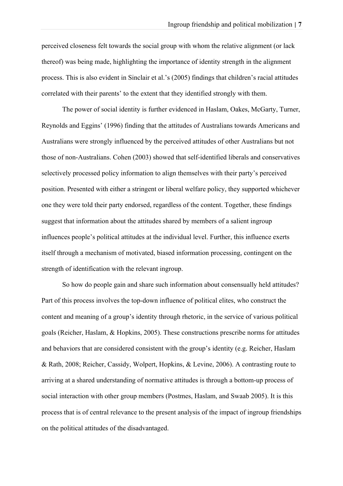perceived closeness felt towards the social group with whom the relative alignment (or lack thereof) was being made, highlighting the importance of identity strength in the alignment process. This is also evident in Sinclair et al.'s (2005) findings that children's racial attitudes correlated with their parents' to the extent that they identified strongly with them.

The power of social identity is further evidenced in Haslam, Oakes, McGarty, Turner, Reynolds and Eggins' (1996) finding that the attitudes of Australians towards Americans and Australians were strongly influenced by the perceived attitudes of other Australians but not those of non-Australians. Cohen (2003) showed that self-identified liberals and conservatives selectively processed policy information to align themselves with their party's perceived position. Presented with either a stringent or liberal welfare policy, they supported whichever one they were told their party endorsed, regardless of the content. Together, these findings suggest that information about the attitudes shared by members of a salient ingroup influences people's political attitudes at the individual level. Further, this influence exerts itself through a mechanism of motivated, biased information processing, contingent on the strength of identification with the relevant ingroup.

So how do people gain and share such information about consensually held attitudes? Part of this process involves the top-down influence of political elites, who construct the content and meaning of a group's identity through rhetoric, in the service of various political goals (Reicher, Haslam, & Hopkins, 2005). These constructions prescribe norms for attitudes and behaviors that are considered consistent with the group's identity (e.g. Reicher, Haslam & Rath, 2008; Reicher, Cassidy, Wolpert, Hopkins, & Levine, 2006). A contrasting route to arriving at a shared understanding of normative attitudes is through a bottom-up process of social interaction with other group members (Postmes, Haslam, and Swaab 2005). It is this process that is of central relevance to the present analysis of the impact of ingroup friendships on the political attitudes of the disadvantaged.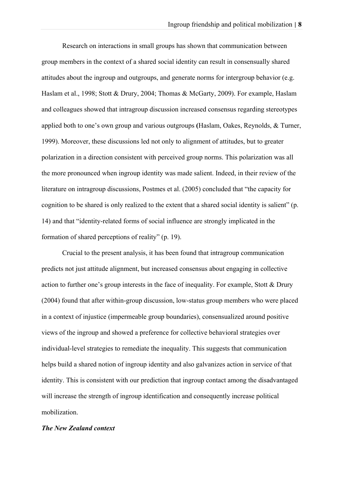Research on interactions in small groups has shown that communication between group members in the context of a shared social identity can result in consensually shared attitudes about the ingroup and outgroups, and generate norms for intergroup behavior (e.g. Haslam et al., 1998; Stott & Drury, 2004; Thomas & McGarty, 2009). For example, Haslam and colleagues showed that intragroup discussion increased consensus regarding stereotypes applied both to one's own group and various outgroups **(**Haslam, Oakes, Reynolds, & Turner, 1999). Moreover, these discussions led not only to alignment of attitudes, but to greater polarization in a direction consistent with perceived group norms. This polarization was all the more pronounced when ingroup identity was made salient. Indeed, in their review of the literature on intragroup discussions, Postmes et al. (2005) concluded that "the capacity for cognition to be shared is only realized to the extent that a shared social identity is salient" (p. 14) and that "identity-related forms of social influence are strongly implicated in the formation of shared perceptions of reality" (p. 19).

Crucial to the present analysis, it has been found that intragroup communication predicts not just attitude alignment, but increased consensus about engaging in collective action to further one's group interests in the face of inequality. For example, Stott & Drury (2004) found that after within-group discussion, low-status group members who were placed in a context of injustice (impermeable group boundaries), consensualized around positive views of the ingroup and showed a preference for collective behavioral strategies over individual-level strategies to remediate the inequality. This suggests that communication helps build a shared notion of ingroup identity and also galvanizes action in service of that identity. This is consistent with our prediction that ingroup contact among the disadvantaged will increase the strength of ingroup identification and consequently increase political mobilization.

#### *The New Zealand context*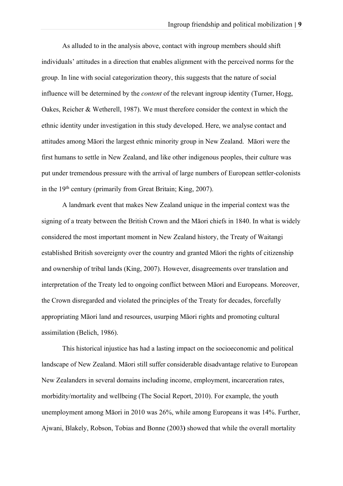As alluded to in the analysis above, contact with ingroup members should shift individuals' attitudes in a direction that enables alignment with the perceived norms for the group. In line with social categorization theory, this suggests that the nature of social influence will be determined by the *content* of the relevant ingroup identity (Turner, Hogg, Oakes, Reicher & Wetherell, 1987). We must therefore consider the context in which the ethnic identity under investigation in this study developed. Here, we analyse contact and attitudes among Māori the largest ethnic minority group in New Zealand. Māori were the first humans to settle in New Zealand, and like other indigenous peoples, their culture was put under tremendous pressure with the arrival of large numbers of European settler-colonists in the 19th century (primarily from Great Britain; King, 2007).

A landmark event that makes New Zealand unique in the imperial context was the signing of a treaty between the British Crown and the Māori chiefs in 1840. In what is widely considered the most important moment in New Zealand history, the Treaty of Waitangi established British sovereignty over the country and granted Māori the rights of citizenship and ownership of tribal lands (King, 2007). However, disagreements over translation and interpretation of the Treaty led to ongoing conflict between Māori and Europeans. Moreover, the Crown disregarded and violated the principles of the Treaty for decades, forcefully appropriating Māori land and resources, usurping Māori rights and promoting cultural assimilation (Belich, 1986).

This historical injustice has had a lasting impact on the socioeconomic and political landscape of New Zealand. Māori still suffer considerable disadvantage relative to European New Zealanders in several domains including income, employment, incarceration rates, morbidity/mortality and wellbeing (The Social Report, 2010). For example, the youth unemployment among Māori in 2010 was 26%, while among Europeans it was 14%. Further, Ajwani, Blakely, Robson, Tobias and Bonne (2003**)** showed that while the overall mortality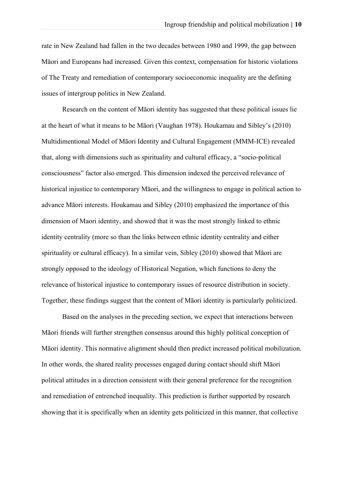rate in New Zealand had fallen in the two decades between 1980 and 1999, the gap between Māori and Europeans had increased. Given this context, compensation for historic violations of The Treaty and remediation of contemporary socioeconomic inequality are the defining issues of intergroup politics in New Zealand.

Research on the content of Māori identity has suggested that these political issues lie at the heart of what it means to be Māori (Vaughan 1978). Houkamau and Sibley's (2010) Multidimentional Model of Māori Identity and Cultural Engagement (MMM-ICE) revealed that, along with dimensions such as spirituality and cultural efficacy, a "socio-political consciousness" factor also emerged. This dimension indexed the perceived relevance of historical injustice to contemporary Māori, and the willingness to engage in political action to advance Māori interests. Houkamau and Sibley (2010) emphasized the importance of this dimension of Maori identity, and showed that it was the most strongly linked to ethnic identity centrality (more so than the links between ethnic identity centrality and either spirituality or cultural efficacy). In a similar vein, Sibley (2010) showed that Māori are strongly opposed to the ideology of Historical Negation, which functions to deny the relevance of historical injustice to contemporary issues of resource distribution in society. Together, these findings suggest that the content of Māori identity is particularly politicized.

Based on the analyses in the preceding section, we expect that interactions between Māori friends will further strengthen consensus around this highly political conception of Māori identity. This normative alignment should then predict increased political mobilization. In other words, the shared reality processes engaged during contact should shift Māori political attitudes in a direction consistent with their general preference for the recognition and remediation of entrenched inequality. This prediction is further supported by research showing that it is specifically when an identity gets politicized in this manner, that collective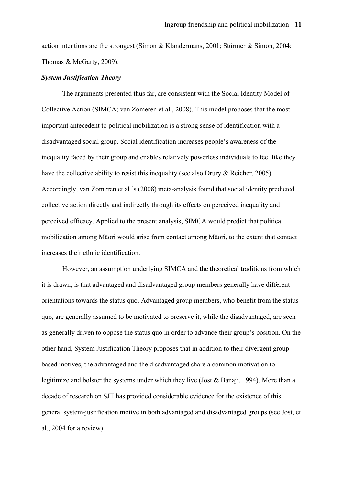action intentions are the strongest (Simon & Klandermans, 2001; Stürmer & Simon, 2004; Thomas & McGarty, 2009).

#### *System Justification Theory*

The arguments presented thus far, are consistent with the Social Identity Model of Collective Action (SIMCA; van Zomeren et al., 2008). This model proposes that the most important antecedent to political mobilization is a strong sense of identification with a disadvantaged social group. Social identification increases people's awareness of the inequality faced by their group and enables relatively powerless individuals to feel like they have the collective ability to resist this inequality (see also Drury & Reicher, 2005). Accordingly, van Zomeren et al.'s (2008) meta-analysis found that social identity predicted collective action directly and indirectly through its effects on perceived inequality and perceived efficacy. Applied to the present analysis, SIMCA would predict that political mobilization among Māori would arise from contact among Māori, to the extent that contact increases their ethnic identification.

However, an assumption underlying SIMCA and the theoretical traditions from which it is drawn, is that advantaged and disadvantaged group members generally have different orientations towards the status quo. Advantaged group members, who benefit from the status quo, are generally assumed to be motivated to preserve it, while the disadvantaged, are seen as generally driven to oppose the status quo in order to advance their group's position. On the other hand, System Justification Theory proposes that in addition to their divergent groupbased motives, the advantaged and the disadvantaged share a common motivation to legitimize and bolster the systems under which they live (Jost & Banaji, 1994). More than a decade of research on SJT has provided considerable evidence for the existence of this general system-justification motive in both advantaged and disadvantaged groups (see Jost, et al., 2004 for a review).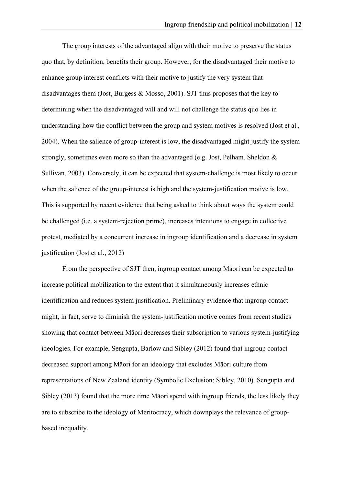The group interests of the advantaged align with their motive to preserve the status quo that, by definition, benefits their group. However, for the disadvantaged their motive to enhance group interest conflicts with their motive to justify the very system that disadvantages them (Jost, Burgess & Mosso, 2001). SJT thus proposes that the key to determining when the disadvantaged will and will not challenge the status quo lies in understanding how the conflict between the group and system motives is resolved (Jost et al., 2004). When the salience of group-interest is low, the disadvantaged might justify the system strongly, sometimes even more so than the advantaged (e.g. Jost, Pelham, Sheldon & Sullivan, 2003). Conversely, it can be expected that system-challenge is most likely to occur when the salience of the group-interest is high and the system-justification motive is low. This is supported by recent evidence that being asked to think about ways the system could be challenged (i.e. a system-rejection prime), increases intentions to engage in collective protest, mediated by a concurrent increase in ingroup identification and a decrease in system justification (Jost et al., 2012)

From the perspective of SJT then, ingroup contact among Māori can be expected to increase political mobilization to the extent that it simultaneously increases ethnic identification and reduces system justification. Preliminary evidence that ingroup contact might, in fact, serve to diminish the system-justification motive comes from recent studies showing that contact between Māori decreases their subscription to various system-justifying ideologies. For example, Sengupta, Barlow and Sibley (2012) found that ingroup contact decreased support among Māori for an ideology that excludes Māori culture from representations of New Zealand identity (Symbolic Exclusion; Sibley, 2010). Sengupta and Sibley (2013) found that the more time Māori spend with ingroup friends, the less likely they are to subscribe to the ideology of Meritocracy, which downplays the relevance of groupbased inequality.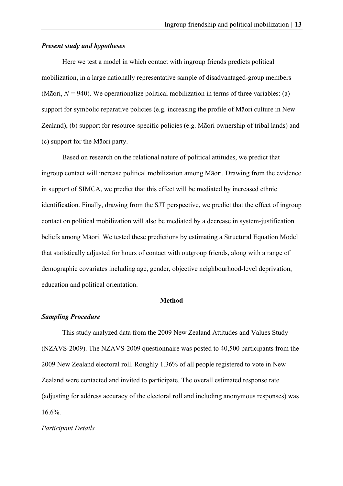#### *Present study and hypotheses*

Here we test a model in which contact with ingroup friends predicts political mobilization, in a large nationally representative sample of disadvantaged-group members (Māori,  $N = 940$ ). We operationalize political mobilization in terms of three variables: (a) support for symbolic reparative policies (e.g. increasing the profile of Māori culture in New Zealand), (b) support for resource-specific policies (e.g. Māori ownership of tribal lands) and (c) support for the Māori party.

Based on research on the relational nature of political attitudes, we predict that ingroup contact will increase political mobilization among Māori. Drawing from the evidence in support of SIMCA, we predict that this effect will be mediated by increased ethnic identification. Finally, drawing from the SJT perspective, we predict that the effect of ingroup contact on political mobilization will also be mediated by a decrease in system-justification beliefs among Māori. We tested these predictions by estimating a Structural Equation Model that statistically adjusted for hours of contact with outgroup friends, along with a range of demographic covariates including age, gender, objective neighbourhood-level deprivation, education and political orientation.

## **Method**

#### *Sampling Procedure*

This study analyzed data from the 2009 New Zealand Attitudes and Values Study (NZAVS-2009). The NZAVS-2009 questionnaire was posted to 40,500 participants from the 2009 New Zealand electoral roll. Roughly 1.36% of all people registered to vote in New Zealand were contacted and invited to participate. The overall estimated response rate (adjusting for address accuracy of the electoral roll and including anonymous responses) was 16.6%.

#### *Participant Details*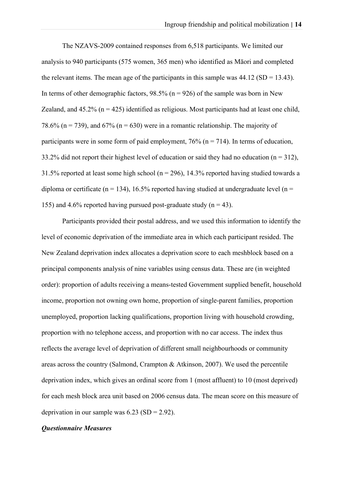The NZAVS-2009 contained responses from 6,518 participants. We limited our analysis to 940 participants (575 women, 365 men) who identified as Māori and completed the relevant items. The mean age of the participants in this sample was  $44.12$  (SD = 13.43). In terms of other demographic factors,  $98.5\%$  (n = 926) of the sample was born in New Zealand, and  $45.2\%$  (n = 425) identified as religious. Most participants had at least one child, 78.6% (n = 739), and 67% (n = 630) were in a romantic relationship. The majority of participants were in some form of paid employment,  $76\%$  (n = 714). In terms of education, 33.2% did not report their highest level of education or said they had no education ( $n = 312$ ), 31.5% reported at least some high school ( $n = 296$ ), 14.3% reported having studied towards a diploma or certificate (n = 134), 16.5% reported having studied at undergraduate level (n = 155) and 4.6% reported having pursued post-graduate study ( $n = 43$ ).

Participants provided their postal address, and we used this information to identify the level of economic deprivation of the immediate area in which each participant resided. The New Zealand deprivation index allocates a deprivation score to each meshblock based on a principal components analysis of nine variables using census data. These are (in weighted order): proportion of adults receiving a means-tested Government supplied benefit, household income, proportion not owning own home, proportion of single-parent families, proportion unemployed, proportion lacking qualifications, proportion living with household crowding, proportion with no telephone access, and proportion with no car access. The index thus reflects the average level of deprivation of different small neighbourhoods or community areas across the country (Salmond, Crampton & Atkinson, 2007). We used the percentile deprivation index, which gives an ordinal score from 1 (most affluent) to 10 (most deprived) for each mesh block area unit based on 2006 census data. The mean score on this measure of deprivation in our sample was  $6.23$  (SD = 2.92).

#### *Questionnaire Measures*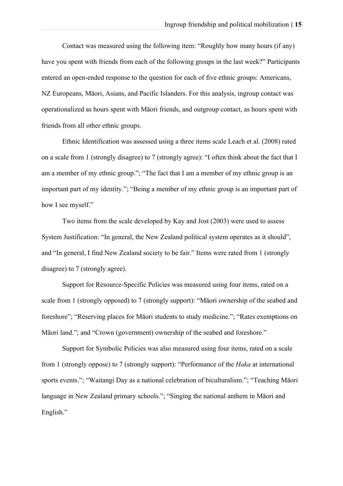Contact was measured using the following item: "Roughly how many hours (if any) have you spent with friends from each of the following groups in the last week?" Participants entered an open-ended response to the question for each of five ethnic groups: Americans, NZ Europeans, Māori, Asians, and Pacific Islanders. For this analysis, ingroup contact was operationalized as hours spent with Māori friends, and outgroup contact, as hours spent with friends from all other ethnic groups.

Ethnic Identification was assessed using a three items scale Leach et al. (2008) rated on a scale from 1 (strongly disagree) to 7 (strongly agree): "I often think about the fact that I am a member of my ethnic group."; "The fact that I am a member of my ethnic group is an important part of my identity."; "Being a member of my ethnic group is an important part of how I see myself."

Two items from the scale developed by Kay and Jost (2003) were used to assess System Justification: "In general, the New Zealand political system operates as it should", and "In general, I find New Zealand society to be fair." Items were rated from 1 (strongly disagree) to 7 (strongly agree).

Support for Resource-Specific Policies was measured using four items, rated on a scale from 1 (strongly opposed) to 7 (strongly support): "Māori ownership of the seabed and foreshore"; "Reserving places for Māori students to study medicine."; "Rates exemptions on Māori land."; and "Crown (government) ownership of the seabed and foreshore."

Support for Symbolic Policies was also measured using four items, rated on a scale from 1 (strongly oppose) to 7 (strongly support): "Performance of the *Haka* at international sports events."; "Waitangi Day as a national celebration of biculturalism."; "Teaching Māori language in New Zealand primary schools."; "Singing the national anthem in Māori and English."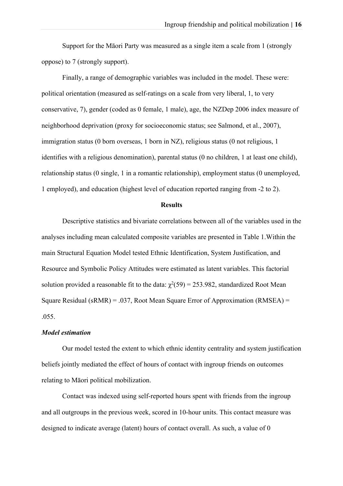Support for the Māori Party was measured as a single item a scale from 1 (strongly oppose) to 7 (strongly support).

Finally, a range of demographic variables was included in the model. These were: political orientation (measured as self-ratings on a scale from very liberal, 1, to very conservative, 7), gender (coded as 0 female, 1 male), age, the NZDep 2006 index measure of neighborhood deprivation (proxy for socioeconomic status; see Salmond, et al., 2007), immigration status (0 born overseas, 1 born in NZ), religious status (0 not religious, 1 identifies with a religious denomination), parental status (0 no children, 1 at least one child), relationship status (0 single, 1 in a romantic relationship), employment status (0 unemployed, 1 employed), and education (highest level of education reported ranging from -2 to 2).

#### **Results**

Descriptive statistics and bivariate correlations between all of the variables used in the analyses including mean calculated composite variables are presented in Table 1.Within the main Structural Equation Model tested Ethnic Identification, System Justification, and Resource and Symbolic Policy Attitudes were estimated as latent variables. This factorial solution provided a reasonable fit to the data:  $\chi^2(59) = 253.982$ , standardized Root Mean Square Residual (sRMR) = .037, Root Mean Square Error of Approximation (RMSEA) = .055.

## *Model estimation*

Our model tested the extent to which ethnic identity centrality and system justification beliefs jointly mediated the effect of hours of contact with ingroup friends on outcomes relating to Māori political mobilization.

Contact was indexed using self-reported hours spent with friends from the ingroup and all outgroups in the previous week, scored in 10-hour units. This contact measure was designed to indicate average (latent) hours of contact overall. As such, a value of 0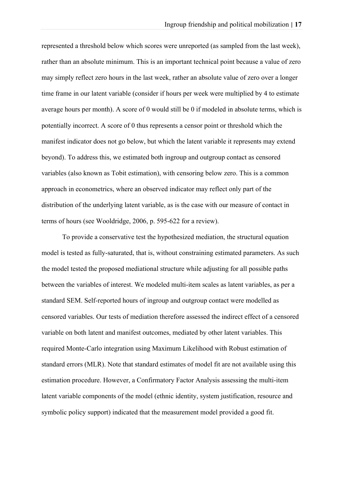represented a threshold below which scores were unreported (as sampled from the last week), rather than an absolute minimum. This is an important technical point because a value of zero may simply reflect zero hours in the last week, rather an absolute value of zero over a longer time frame in our latent variable (consider if hours per week were multiplied by 4 to estimate average hours per month). A score of 0 would still be 0 if modeled in absolute terms, which is potentially incorrect. A score of 0 thus represents a censor point or threshold which the manifest indicator does not go below, but which the latent variable it represents may extend beyond). To address this, we estimated both ingroup and outgroup contact as censored variables (also known as Tobit estimation), with censoring below zero. This is a common approach in econometrics, where an observed indicator may reflect only part of the distribution of the underlying latent variable, as is the case with our measure of contact in terms of hours (see Wooldridge, 2006, p. 595-622 for a review).

To provide a conservative test the hypothesized mediation, the structural equation model is tested as fully-saturated, that is, without constraining estimated parameters. As such the model tested the proposed mediational structure while adjusting for all possible paths between the variables of interest. We modeled multi-item scales as latent variables, as per a standard SEM. Self-reported hours of ingroup and outgroup contact were modelled as censored variables. Our tests of mediation therefore assessed the indirect effect of a censored variable on both latent and manifest outcomes, mediated by other latent variables. This required Monte-Carlo integration using Maximum Likelihood with Robust estimation of standard errors (MLR). Note that standard estimates of model fit are not available using this estimation procedure. However, a Confirmatory Factor Analysis assessing the multi-item latent variable components of the model (ethnic identity, system justification, resource and symbolic policy support) indicated that the measurement model provided a good fit.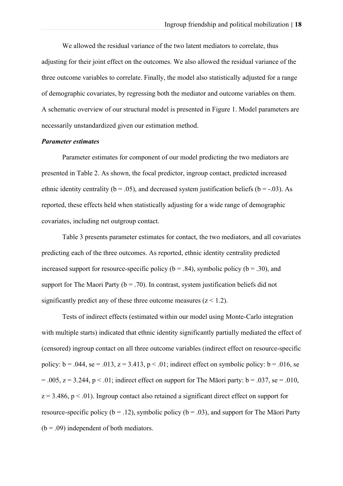We allowed the residual variance of the two latent mediators to correlate, thus adjusting for their joint effect on the outcomes. We also allowed the residual variance of the three outcome variables to correlate. Finally, the model also statistically adjusted for a range of demographic covariates, by regressing both the mediator and outcome variables on them. A schematic overview of our structural model is presented in Figure 1. Model parameters are necessarily unstandardized given our estimation method.

#### *Parameter estimates*

Parameter estimates for component of our model predicting the two mediators are presented in Table 2. As shown, the focal predictor, ingroup contact, predicted increased ethnic identity centrality ( $b = .05$ ), and decreased system justification beliefs ( $b = -.03$ ). As reported, these effects held when statistically adjusting for a wide range of demographic covariates, including net outgroup contact.

Table 3 presents parameter estimates for contact, the two mediators, and all covariates predicting each of the three outcomes. As reported, ethnic identity centrality predicted increased support for resource-specific policy ( $b = .84$ ), symbolic policy ( $b = .30$ ), and support for The Maori Party ( $b = .70$ ). In contrast, system justification beliefs did not significantly predict any of these three outcome measures  $(z < 1.2)$ .

Tests of indirect effects (estimated within our model using Monte-Carlo integration with multiple starts) indicated that ethnic identity significantly partially mediated the effect of (censored) ingroup contact on all three outcome variables (indirect effect on resource-specific policy:  $b = .044$ , se = .013, z = 3.413, p < .01; indirect effect on symbolic policy:  $b = .016$ , se  $= .005$ ,  $z = 3.244$ ,  $p < .01$ ; indirect effect on support for The Matori party:  $b = .037$ , se = .010,  $z = 3.486$ ,  $p < .01$ ). Ingroup contact also retained a significant direct effect on support for resource-specific policy ( $b = .12$ ), symbolic policy ( $b = .03$ ), and support for The Māori Party  $(b = .09)$  independent of both mediators.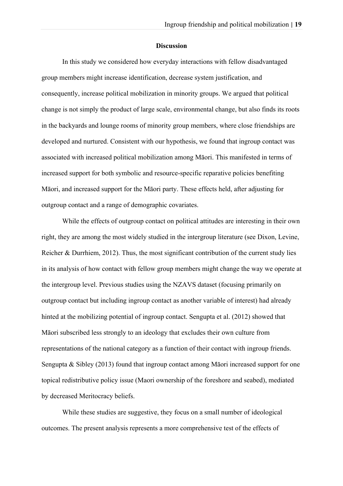#### **Discussion**

In this study we considered how everyday interactions with fellow disadvantaged group members might increase identification, decrease system justification, and consequently, increase political mobilization in minority groups. We argued that political change is not simply the product of large scale, environmental change, but also finds its roots in the backyards and lounge rooms of minority group members, where close friendships are developed and nurtured. Consistent with our hypothesis, we found that ingroup contact was associated with increased political mobilization among Māori. This manifested in terms of increased support for both symbolic and resource-specific reparative policies benefiting Māori, and increased support for the Māori party. These effects held, after adjusting for outgroup contact and a range of demographic covariates.

While the effects of outgroup contact on political attitudes are interesting in their own right, they are among the most widely studied in the intergroup literature (see Dixon, Levine, Reicher & Durrhiem, 2012). Thus, the most significant contribution of the current study lies in its analysis of how contact with fellow group members might change the way we operate at the intergroup level. Previous studies using the NZAVS dataset (focusing primarily on outgroup contact but including ingroup contact as another variable of interest) had already hinted at the mobilizing potential of ingroup contact. Sengupta et al. (2012) showed that Māori subscribed less strongly to an ideology that excludes their own culture from representations of the national category as a function of their contact with ingroup friends. Sengupta & Sibley (2013) found that ingroup contact among Māori increased support for one topical redistributive policy issue (Maori ownership of the foreshore and seabed), mediated by decreased Meritocracy beliefs.

While these studies are suggestive, they focus on a small number of ideological outcomes. The present analysis represents a more comprehensive test of the effects of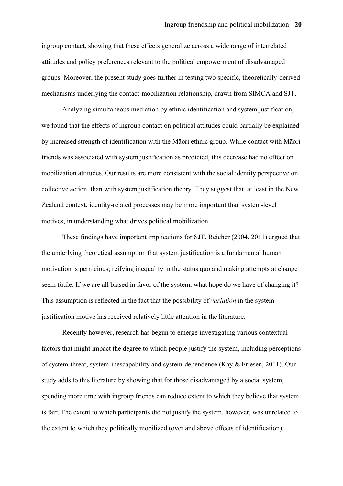ingroup contact, showing that these effects generalize across a wide range of interrelated attitudes and policy preferences relevant to the political empowerment of disadvantaged groups. Moreover, the present study goes further in testing two specific, theoretically-derived mechanisms underlying the contact-mobilization relationship, drawn from SIMCA and SJT.

Analyzing simultaneous mediation by ethnic identification and system justification, we found that the effects of ingroup contact on political attitudes could partially be explained by increased strength of identification with the Māori ethnic group. While contact with Māori friends was associated with system justification as predicted, this decrease had no effect on mobilization attitudes. Our results are more consistent with the social identity perspective on collective action, than with system justification theory. They suggest that, at least in the New Zealand context, identity-related processes may be more important than system-level motives, in understanding what drives political mobilization.

These findings have important implications for SJT. Reicher (2004, 2011) argued that the underlying theoretical assumption that system justification is a fundamental human motivation is pernicious; reifying inequality in the status quo and making attempts at change seem futile. If we are all biased in favor of the system, what hope do we have of changing it? This assumption is reflected in the fact that the possibility of *variation* in the systemjustification motive has received relatively little attention in the literature.

Recently however, research has begun to emerge investigating various contextual factors that might impact the degree to which people justify the system, including perceptions of system-threat, system-inescapability and system-dependence (Kay & Friesen, 2011). Our study adds to this literature by showing that for those disadvantaged by a social system, spending more time with ingroup friends can reduce extent to which they believe that system is fair. The extent to which participants did not justify the system, however, was unrelated to the extent to which they politically mobilized (over and above effects of identification).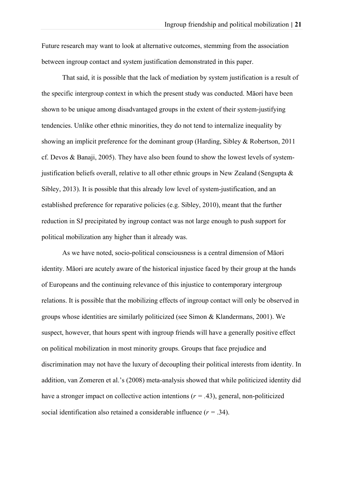Future research may want to look at alternative outcomes, stemming from the association between ingroup contact and system justification demonstrated in this paper.

That said, it is possible that the lack of mediation by system justification is a result of the specific intergroup context in which the present study was conducted. Māori have been shown to be unique among disadvantaged groups in the extent of their system-justifying tendencies. Unlike other ethnic minorities, they do not tend to internalize inequality by showing an implicit preference for the dominant group (Harding, Sibley & Robertson, 2011 cf. Devos & Banaji, 2005). They have also been found to show the lowest levels of systemjustification beliefs overall, relative to all other ethnic groups in New Zealand (Sengupta  $\&$ Sibley, 2013). It is possible that this already low level of system-justification, and an established preference for reparative policies (e.g. Sibley, 2010), meant that the further reduction in SJ precipitated by ingroup contact was not large enough to push support for political mobilization any higher than it already was.

As we have noted, socio-political consciousness is a central dimension of Māori identity. Māori are acutely aware of the historical injustice faced by their group at the hands of Europeans and the continuing relevance of this injustice to contemporary intergroup relations. It is possible that the mobilizing effects of ingroup contact will only be observed in groups whose identities are similarly politicized (see Simon & Klandermans, 2001). We suspect, however, that hours spent with ingroup friends will have a generally positive effect on political mobilization in most minority groups. Groups that face prejudice and discrimination may not have the luxury of decoupling their political interests from identity. In addition, van Zomeren et al.'s (2008) meta-analysis showed that while politicized identity did have a stronger impact on collective action intentions ( $r = .43$ ), general, non-politicized social identification also retained a considerable influence (*r =* .34).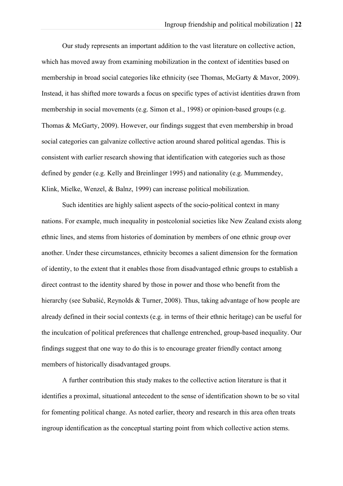Our study represents an important addition to the vast literature on collective action, which has moved away from examining mobilization in the context of identities based on membership in broad social categories like ethnicity (see Thomas, McGarty & Mavor, 2009). Instead, it has shifted more towards a focus on specific types of activist identities drawn from membership in social movements (e.g. Simon et al., 1998) or opinion-based groups (e.g. Thomas & McGarty, 2009). However, our findings suggest that even membership in broad social categories can galvanize collective action around shared political agendas. This is consistent with earlier research showing that identification with categories such as those defined by gender (e.g. Kelly and Breinlinger 1995) and nationality (e.g. Mummendey, Klink, Mielke, Wenzel, & Balnz, 1999) can increase political mobilization.

Such identities are highly salient aspects of the socio-political context in many nations. For example, much inequality in postcolonial societies like New Zealand exists along ethnic lines, and stems from histories of domination by members of one ethnic group over another. Under these circumstances, ethnicity becomes a salient dimension for the formation of identity, to the extent that it enables those from disadvantaged ethnic groups to establish a direct contrast to the identity shared by those in power and those who benefit from the hierarchy (see Subašić, Reynolds & Turner, 2008). Thus, taking advantage of how people are already defined in their social contexts (e.g. in terms of their ethnic heritage) can be useful for the inculcation of political preferences that challenge entrenched, group-based inequality. Our findings suggest that one way to do this is to encourage greater friendly contact among members of historically disadvantaged groups.

A further contribution this study makes to the collective action literature is that it identifies a proximal, situational antecedent to the sense of identification shown to be so vital for fomenting political change. As noted earlier, theory and research in this area often treats ingroup identification as the conceptual starting point from which collective action stems.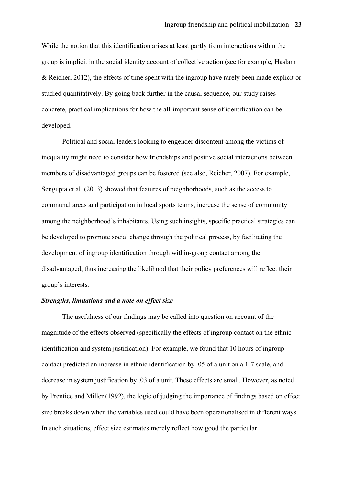While the notion that this identification arises at least partly from interactions within the group is implicit in the social identity account of collective action (see for example, Haslam & Reicher, 2012), the effects of time spent with the ingroup have rarely been made explicit or studied quantitatively. By going back further in the causal sequence, our study raises concrete, practical implications for how the all-important sense of identification can be developed.

Political and social leaders looking to engender discontent among the victims of inequality might need to consider how friendships and positive social interactions between members of disadvantaged groups can be fostered (see also, Reicher, 2007). For example, Sengupta et al. (2013) showed that features of neighborhoods, such as the access to communal areas and participation in local sports teams, increase the sense of community among the neighborhood's inhabitants. Using such insights, specific practical strategies can be developed to promote social change through the political process, by facilitating the development of ingroup identification through within-group contact among the disadvantaged, thus increasing the likelihood that their policy preferences will reflect their group's interests.

# *Strengths, limitations and a note on effect size*

The usefulness of our findings may be called into question on account of the magnitude of the effects observed (specifically the effects of ingroup contact on the ethnic identification and system justification). For example, we found that 10 hours of ingroup contact predicted an increase in ethnic identification by .05 of a unit on a 1-7 scale, and decrease in system justification by .03 of a unit. These effects are small. However, as noted by Prentice and Miller (1992), the logic of judging the importance of findings based on effect size breaks down when the variables used could have been operationalised in different ways. In such situations, effect size estimates merely reflect how good the particular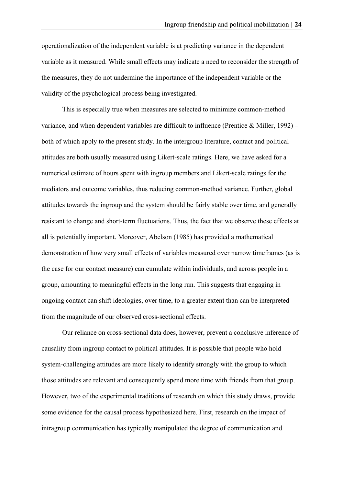operationalization of the independent variable is at predicting variance in the dependent variable as it measured. While small effects may indicate a need to reconsider the strength of the measures, they do not undermine the importance of the independent variable or the validity of the psychological process being investigated.

This is especially true when measures are selected to minimize common-method variance, and when dependent variables are difficult to influence (Prentice & Miller, 1992) – both of which apply to the present study. In the intergroup literature, contact and political attitudes are both usually measured using Likert-scale ratings. Here, we have asked for a numerical estimate of hours spent with ingroup members and Likert-scale ratings for the mediators and outcome variables, thus reducing common-method variance. Further, global attitudes towards the ingroup and the system should be fairly stable over time, and generally resistant to change and short-term fluctuations. Thus, the fact that we observe these effects at all is potentially important. Moreover, Abelson (1985) has provided a mathematical demonstration of how very small effects of variables measured over narrow timeframes (as is the case for our contact measure) can cumulate within individuals, and across people in a group, amounting to meaningful effects in the long run. This suggests that engaging in ongoing contact can shift ideologies, over time, to a greater extent than can be interpreted from the magnitude of our observed cross-sectional effects.

Our reliance on cross-sectional data does, however, prevent a conclusive inference of causality from ingroup contact to political attitudes. It is possible that people who hold system-challenging attitudes are more likely to identify strongly with the group to which those attitudes are relevant and consequently spend more time with friends from that group. However, two of the experimental traditions of research on which this study draws, provide some evidence for the causal process hypothesized here. First, research on the impact of intragroup communication has typically manipulated the degree of communication and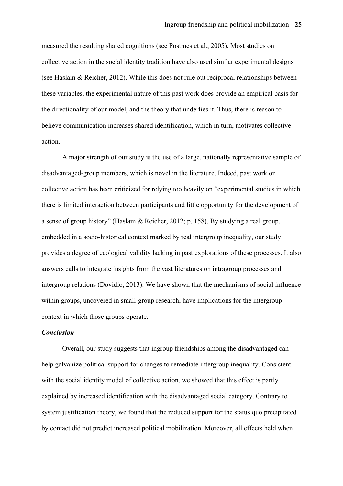measured the resulting shared cognitions (see Postmes et al., 2005). Most studies on collective action in the social identity tradition have also used similar experimental designs (see Haslam & Reicher, 2012). While this does not rule out reciprocal relationships between these variables, the experimental nature of this past work does provide an empirical basis for the directionality of our model, and the theory that underlies it. Thus, there is reason to believe communication increases shared identification, which in turn, motivates collective action.

A major strength of our study is the use of a large, nationally representative sample of disadvantaged-group members, which is novel in the literature. Indeed, past work on collective action has been criticized for relying too heavily on "experimental studies in which there is limited interaction between participants and little opportunity for the development of a sense of group history" (Haslam & Reicher, 2012; p. 158). By studying a real group, embedded in a socio-historical context marked by real intergroup inequality, our study provides a degree of ecological validity lacking in past explorations of these processes. It also answers calls to integrate insights from the vast literatures on intragroup processes and intergroup relations (Dovidio, 2013). We have shown that the mechanisms of social influence within groups, uncovered in small-group research, have implications for the intergroup context in which those groups operate.

# *Conclusion*

Overall, our study suggests that ingroup friendships among the disadvantaged can help galvanize political support for changes to remediate intergroup inequality. Consistent with the social identity model of collective action, we showed that this effect is partly explained by increased identification with the disadvantaged social category. Contrary to system justification theory, we found that the reduced support for the status quo precipitated by contact did not predict increased political mobilization. Moreover, all effects held when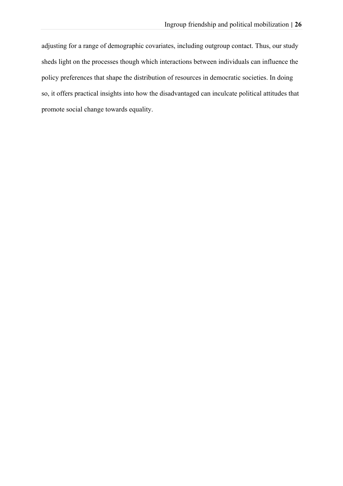adjusting for a range of demographic covariates, including outgroup contact. Thus, our study sheds light on the processes though which interactions between individuals can influence the policy preferences that shape the distribution of resources in democratic societies. In doing so, it offers practical insights into how the disadvantaged can inculcate political attitudes that promote social change towards equality.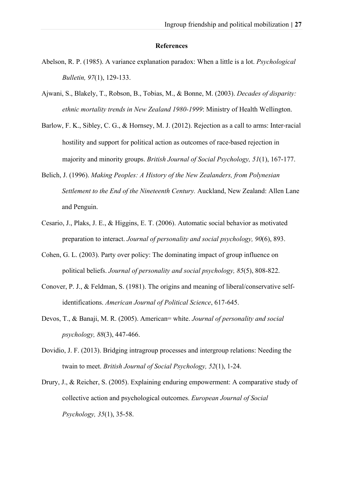#### **References**

- Abelson, R. P. (1985). A variance explanation paradox: When a little is a lot. *Psychological Bulletin, 97*(1), 129-133.
- Ajwani, S., Blakely, T., Robson, B., Tobias, M., & Bonne, M. (2003). *Decades of disparity: ethnic mortality trends in New Zealand 1980-1999*: Ministry of Health Wellington.
- Barlow, F. K., Sibley, C. G., & Hornsey, M. J. (2012). Rejection as a call to arms: Inter-racial hostility and support for political action as outcomes of race-based rejection in majority and minority groups. *British Journal of Social Psychology, 51*(1), 167-177.
- Belich, J. (1996). *Making Peoples: A History of the New Zealanders, from Polynesian Settlement to the End of the Nineteenth Century.* Auckland, New Zealand: Allen Lane and Penguin.
- Cesario, J., Plaks, J. E., & Higgins, E. T. (2006). Automatic social behavior as motivated preparation to interact. *Journal of personality and social psychology, 90*(6), 893.
- Cohen, G. L. (2003). Party over policy: The dominating impact of group influence on political beliefs. *Journal of personality and social psychology, 85*(5), 808-822.
- Conover, P. J., & Feldman, S. (1981). The origins and meaning of liberal/conservative selfidentifications. *American Journal of Political Science*, 617-645.
- Devos, T., & Banaji, M. R. (2005). American= white. *Journal of personality and social psychology, 88*(3), 447-466.
- Dovidio, J. F. (2013). Bridging intragroup processes and intergroup relations: Needing the twain to meet. *British Journal of Social Psychology, 52*(1), 1-24.
- Drury, J., & Reicher, S. (2005). Explaining enduring empowerment: A comparative study of collective action and psychological outcomes. *European Journal of Social Psychology, 35*(1), 35-58.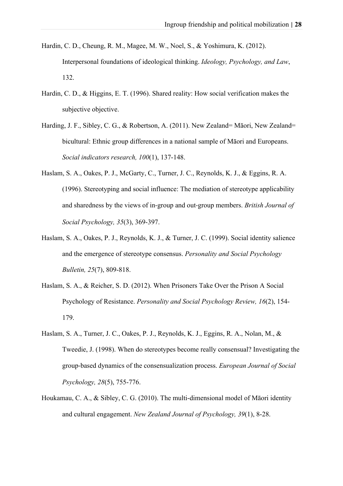- Hardin, C. D., Cheung, R. M., Magee, M. W., Noel, S., & Yoshimura, K. (2012). Interpersonal foundations of ideological thinking. *Ideology, Psychology, and Law*, 132.
- Hardin, C. D., & Higgins, E. T. (1996). Shared reality: How social verification makes the subjective objective.
- Harding, J. F., Sibley, C. G., & Robertson, A. (2011). New Zealand= Māori, New Zealand= bicultural: Ethnic group differences in a national sample of Māori and Europeans. *Social indicators research, 100*(1), 137-148.
- Haslam, S. A., Oakes, P. J., McGarty, C., Turner, J. C., Reynolds, K. J., & Eggins, R. A. (1996). Stereotyping and social influence: The mediation of stereotype applicability and sharedness by the views of in-group and out-group members. *British Journal of Social Psychology, 35*(3), 369-397.
- Haslam, S. A., Oakes, P. J., Reynolds, K. J., & Turner, J. C. (1999). Social identity salience and the emergence of stereotype consensus. *Personality and Social Psychology Bulletin, 25*(7), 809-818.
- Haslam, S. A., & Reicher, S. D. (2012). When Prisoners Take Over the Prison A Social Psychology of Resistance. *Personality and Social Psychology Review, 16*(2), 154- 179.
- Haslam, S. A., Turner, J. C., Oakes, P. J., Reynolds, K. J., Eggins, R. A., Nolan, M., & Tweedie, J. (1998). When do stereotypes become really consensual? Investigating the group-based dynamics of the consensualization process. *European Journal of Social Psychology, 28*(5), 755-776.
- Houkamau, C. A., & Sibley, C. G. (2010). The multi-dimensional model of Māori identity and cultural engagement. *New Zealand Journal of Psychology, 39*(1), 8-28.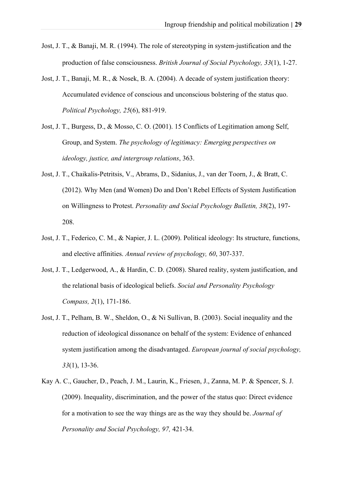- Jost, J. T., & Banaji, M. R. (1994). The role of stereotyping in system-justification and the production of false consciousness. *British Journal of Social Psychology, 33*(1), 1-27.
- Jost, J. T., Banaji, M. R., & Nosek, B. A. (2004). A decade of system justification theory: Accumulated evidence of conscious and unconscious bolstering of the status quo. *Political Psychology, 25*(6), 881-919.
- Jost, J. T., Burgess, D., & Mosso, C. O. (2001). 15 Conflicts of Legitimation among Self, Group, and System. *The psychology of legitimacy: Emerging perspectives on ideology, justice, and intergroup relations*, 363.
- Jost, J. T., Chaikalis-Petritsis, V., Abrams, D., Sidanius, J., van der Toorn, J., & Bratt, C. (2012). Why Men (and Women) Do and Don't Rebel Effects of System Justification on Willingness to Protest. *Personality and Social Psychology Bulletin, 38*(2), 197- 208.
- Jost, J. T., Federico, C. M., & Napier, J. L. (2009). Political ideology: Its structure, functions, and elective affinities. *Annual review of psychology, 60*, 307-337.
- Jost, J. T., Ledgerwood, A., & Hardin, C. D. (2008). Shared reality, system justification, and the relational basis of ideological beliefs. *Social and Personality Psychology Compass, 2*(1), 171-186.
- Jost, J. T., Pelham, B. W., Sheldon, O., & Ni Sullivan, B. (2003). Social inequality and the reduction of ideological dissonance on behalf of the system: Evidence of enhanced system justification among the disadvantaged. *European journal of social psychology, 33*(1), 13-36.
- Kay A. C., Gaucher, D., Peach, J. M., Laurin, K., Friesen, J., Zanna, M. P. & Spencer, S. J. (2009). Inequality, discrimination, and the power of the status quo: Direct evidence for a motivation to see the way things are as the way they should be. *Journal of Personality and Social Psychology, 97,* 421-34.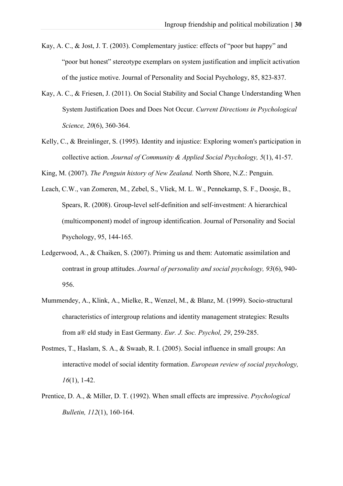- Kay, A. C., & Jost, J. T. (2003). Complementary justice: effects of "poor but happy" and "poor but honest" stereotype exemplars on system justification and implicit activation of the justice motive. Journal of Personality and Social Psychology, 85, 823-837.
- Kay, A. C., & Friesen, J. (2011). On Social Stability and Social Change Understanding When System Justification Does and Does Not Occur. *Current Directions in Psychological Science, 20*(6), 360-364.
- Kelly, C., & Breinlinger, S. (1995). Identity and injustice: Exploring women's participation in collective action. *Journal of Community & Applied Social Psychology, 5*(1), 41-57.

King, M. (2007). *The Penguin history of New Zealand.* North Shore, N.Z.: Penguin.

- Leach, C.W., van Zomeren, M., Zebel, S., Vliek, M. L. W., Pennekamp, S. F., Doosje, B., Spears, R. (2008). Group-level self-definition and self-investment: A hierarchical (multicomponent) model of ingroup identification. Journal of Personality and Social Psychology, 95, 144-165.
- Ledgerwood, A., & Chaiken, S. (2007). Priming us and them: Automatic assimilation and contrast in group attitudes. *Journal of personality and social psychology, 93*(6), 940- 956.
- Mummendey, A., Klink, A., Mielke, R., Wenzel, M., & Blanz, M. (1999). Socio-structural characteristics of intergroup relations and identity management strategies: Results from a® eld study in East Germany. *Eur. J. Soc. Psychol, 29*, 259-285.
- Postmes, T., Haslam, S. A., & Swaab, R. I. (2005). Social influence in small groups: An interactive model of social identity formation. *European review of social psychology, 16*(1), 1-42.
- Prentice, D. A., & Miller, D. T. (1992). When small effects are impressive. *Psychological Bulletin, 112*(1), 160-164.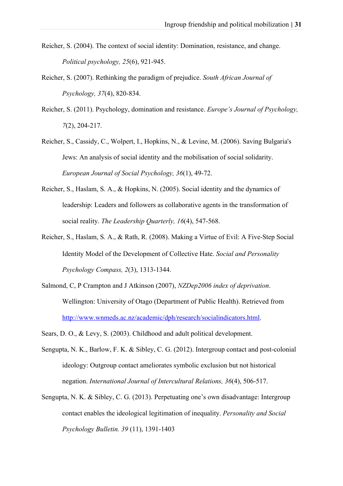- Reicher, S. (2004). The context of social identity: Domination, resistance, and change. *Political psychology, 25*(6), 921-945.
- Reicher, S. (2007). Rethinking the paradigm of prejudice. *South African Journal of Psychology, 37*(4), 820-834.
- Reicher, S. (2011). Psychology, domination and resistance. *Europe's Journal of Psychology, 7*(2), 204-217.
- Reicher, S., Cassidy, C., Wolpert, I., Hopkins, N., & Levine, M. (2006). Saving Bulgaria's Jews: An analysis of social identity and the mobilisation of social solidarity. *European Journal of Social Psychology, 36*(1), 49-72.
- Reicher, S., Haslam, S. A., & Hopkins, N. (2005). Social identity and the dynamics of leadership: Leaders and followers as collaborative agents in the transformation of social reality. *The Leadership Quarterly, 16*(4), 547-568.
- Reicher, S., Haslam, S. A., & Rath, R. (2008). Making a Virtue of Evil: A Five-Step Social Identity Model of the Development of Collective Hate. *Social and Personality Psychology Compass, 2*(3), 1313-1344.
- Salmond, C, P Crampton and J Atkinson (2007), *NZDep2006 index of deprivation*. Wellington: University of Otago (Department of Public Health). Retrieved from http://www.wnmeds.ac.nz/academic/dph/research/socialindicators.html.
- Sears, D. O., & Levy, S. (2003). Childhood and adult political development.
- Sengupta, N. K., Barlow, F. K. & Sibley, C. G. (2012). Intergroup contact and post-colonial ideology: Outgroup contact ameliorates symbolic exclusion but not historical negation. *International Journal of Intercultural Relations, 36*(4), 506-517.
- Sengupta, N. K. & Sibley, C. G. (2013). Perpetuating one's own disadvantage: Intergroup contact enables the ideological legitimation of inequality. *Personality and Social Psychology Bulletin. 39* (11), 1391-1403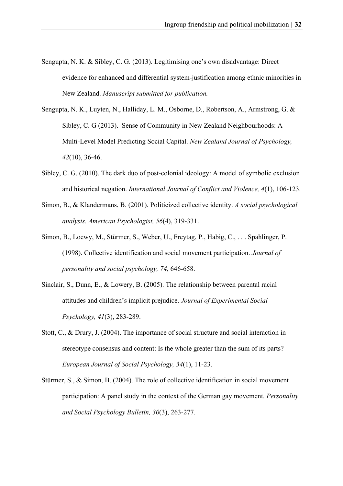- Sengupta, N. K. & Sibley, C. G. (2013). Legitimising one's own disadvantage: Direct evidence for enhanced and differential system-justification among ethnic minorities in New Zealand. *Manuscript submitted for publication.*
- Sengupta, N. K., Luyten, N., Halliday, L. M., Osborne, D., Robertson, A., Armstrong, G. & Sibley, C. G (2013). Sense of Community in New Zealand Neighbourhoods: A Multi-Level Model Predicting Social Capital. *New Zealand Journal of Psychology, 42*(10), 36-46.
- Sibley, C. G. (2010). The dark duo of post-colonial ideology: A model of symbolic exclusion and historical negation. *International Journal of Conflict and Violence, 4*(1), 106-123.
- Simon, B., & Klandermans, B. (2001). Politicized collective identity. *A social psychological analysis. American Psychologist, 56*(4), 319-331.
- Simon, B., Loewy, M., Stürmer, S., Weber, U., Freytag, P., Habig, C., . . . Spahlinger, P. (1998). Collective identification and social movement participation. *Journal of personality and social psychology, 74*, 646-658.
- Sinclair, S., Dunn, E., & Lowery, B. (2005). The relationship between parental racial attitudes and children's implicit prejudice. *Journal of Experimental Social Psychology, 41*(3), 283-289.
- Stott, C., & Drury, J. (2004). The importance of social structure and social interaction in stereotype consensus and content: Is the whole greater than the sum of its parts? *European Journal of Social Psychology, 34*(1), 11-23.
- Stürmer, S., & Simon, B. (2004). The role of collective identification in social movement participation: A panel study in the context of the German gay movement. *Personality and Social Psychology Bulletin, 30*(3), 263-277.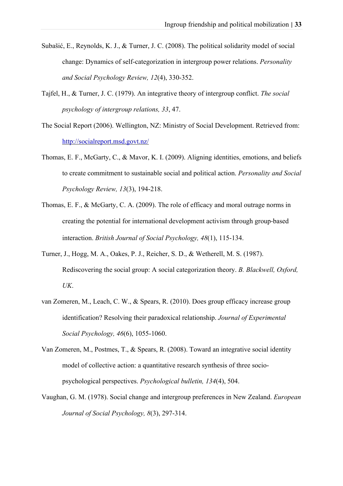- Subašić, E., Reynolds, K. J., & Turner, J. C. (2008). The political solidarity model of social change: Dynamics of self-categorization in intergroup power relations. *Personality and Social Psychology Review, 12*(4), 330-352.
- Tajfel, H., & Turner, J. C. (1979). An integrative theory of intergroup conflict. *The social psychology of intergroup relations, 33*, 47.
- The Social Report (2006). Wellington, NZ: Ministry of Social Development. Retrieved from: http://socialreport.msd.govt.nz/
- Thomas, E. F., McGarty, C., & Mavor, K. I. (2009). Aligning identities, emotions, and beliefs to create commitment to sustainable social and political action. *Personality and Social Psychology Review, 13*(3), 194-218.
- Thomas, E. F., & McGarty, C. A. (2009). The role of efficacy and moral outrage norms in creating the potential for international development activism through group-based interaction. *British Journal of Social Psychology, 48*(1), 115-134.
- Turner, J., Hogg, M. A., Oakes, P. J., Reicher, S. D., & Wetherell, M. S. (1987). Rediscovering the social group: A social categorization theory. *B. Blackwell, Oxford, UK*.
- van Zomeren, M., Leach, C. W., & Spears, R. (2010). Does group efficacy increase group identification? Resolving their paradoxical relationship. *Journal of Experimental Social Psychology, 46*(6), 1055-1060.
- Van Zomeren, M., Postmes, T., & Spears, R. (2008). Toward an integrative social identity model of collective action: a quantitative research synthesis of three sociopsychological perspectives. *Psychological bulletin, 134*(4), 504.
- Vaughan, G. M. (1978). Social change and intergroup preferences in New Zealand. *European Journal of Social Psychology, 8*(3), 297-314.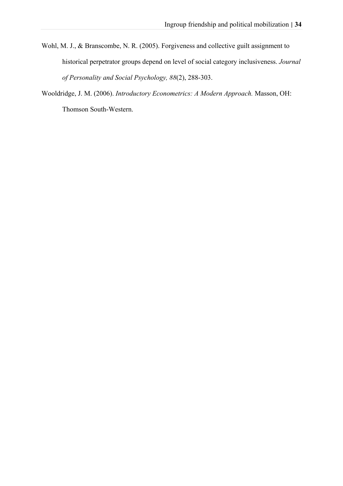- Wohl, M. J., & Branscombe, N. R. (2005). Forgiveness and collective guilt assignment to historical perpetrator groups depend on level of social category inclusiveness. *Journal of Personality and Social Psychology, 88*(2), 288-303.
- Wooldridge, J. M. (2006). *Introductory Econometrics: A Modern Approach.* Masson, OH: Thomson South-Western.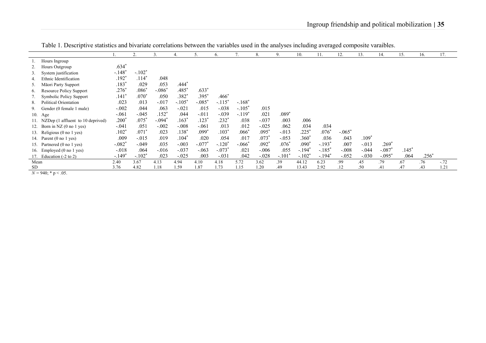|      |                                                                                                                                   |                      | 2.       | 3.       | 4.       |          | 6.                  | 7.       | 8.      | 9.       | 10.                  | 11.      | 12.      | 13.     | 14.      | 15.     | 16.     | 17.    |
|------|-----------------------------------------------------------------------------------------------------------------------------------|----------------------|----------|----------|----------|----------|---------------------|----------|---------|----------|----------------------|----------|----------|---------|----------|---------|---------|--------|
|      | Hours Ingroup                                                                                                                     |                      |          |          |          |          |                     |          |         |          |                      |          |          |         |          |         |         |        |
|      | Hours Outgroup                                                                                                                    | $.634*$              |          |          |          |          |                     |          |         |          |                      |          |          |         |          |         |         |        |
|      | 3. System justification                                                                                                           | $-.148$ <sup>*</sup> | $-.102*$ |          |          |          |                     |          |         |          |                      |          |          |         |          |         |         |        |
| 4.   | Ethnic Identification                                                                                                             | $.192*$              | $.114*$  | .048     |          |          |                     |          |         |          |                      |          |          |         |          |         |         |        |
| 5.   | Māori Party Support                                                                                                               | $.183*$              | .029     | .053     | $.444*$  |          |                     |          |         |          |                      |          |          |         |          |         |         |        |
| 6.   | <b>Resource Policy Support</b>                                                                                                    | $.276*$              | $.086*$  | $-.086*$ | $.485*$  | $.633*$  |                     |          |         |          |                      |          |          |         |          |         |         |        |
|      | <b>Symbolic Policy Support</b>                                                                                                    | $.141*$              | $.070*$  | .050     | $.382*$  | $.395*$  | $.466*$             |          |         |          |                      |          |          |         |          |         |         |        |
| 8.   | Political Orientation                                                                                                             | .023                 | .013     | $-.017$  | $-.105*$ | $-.085*$ | $-.115*$            | $-.168*$ |         |          |                      |          |          |         |          |         |         |        |
|      | 9. Gender (0 female 1 male)                                                                                                       | $-.002$              | .044     | .063     | $-.021$  | .015     | $-.038$             | $-.105"$ | .015    |          |                      |          |          |         |          |         |         |        |
|      | 10. Age                                                                                                                           | $-.061$              | $-.045$  | $.152*$  | .044     | $-.011$  | $-.039$             | $-.119*$ | .021    | $.089*$  |                      |          |          |         |          |         |         |        |
|      | 11. NZDep (1 affluent to 10 deprived)                                                                                             | $.200^{\circ}$       | $.075*$  | $-.094'$ | $.163*$  | $.123*$  | $.232$ <sup>*</sup> | .038     | $-.037$ | .003     | .006                 |          |          |         |          |         |         |        |
|      | 12. Born in NZ $(0 \text{ no } 1 \text{ yes})$                                                                                    | $-.041$              | .051     | $-.002$  | $-.008$  | $-.061$  | .013                | .012     | $-.025$ | .062     | .034                 | .034     |          |         |          |         |         |        |
|      | 13. Religious (0 no 1 yes)                                                                                                        | .102"                | $.071*$  | .023     | $.138*$  | $.099*$  | $.103*$             | $.066*$  | .095    | $-.013$  | $.225$ <sup>*</sup>  | $.076*$  | $-.065*$ |         |          |         |         |        |
|      | 14. Parent (0 no 1 yes)                                                                                                           | .009                 | $-.015$  | .019     | $.104*$  | .020     | .054                | .017     | $.073*$ | $-.053$  | .360*                | .036     | .043     | $.109*$ |          |         |         |        |
|      | 15. Partnered (0 no 1 yes)                                                                                                        | $-.082*$             | $-.049$  | .035     | $-.003$  | $-.077*$ | $-.120*$            | $-.066*$ | $.092*$ | $.076*$  | $.090*$              | $-.193*$ | .007     | $-.013$ | $.269*$  |         |         |        |
|      | 16. Employed (0 no 1 yes)                                                                                                         | $-.018$              | .064     | $-0.016$ | $-.037$  | $-.063$  | $-.073*$            | .021     | $-.006$ | .055     | $-.194*$             | $-.185*$ | $-.008$  | $-.044$ | $-.087$  | $.145*$ |         |        |
|      | 17. Education $(-2 \text{ to } 2)$                                                                                                | $-.149*$             | $-.102*$ | .023     | $-.025$  | .003     | $-.031$             | .042     | $-.028$ | $-.101"$ | $-.102$ <sup>*</sup> | $-.194"$ | $-.052$  | $-.030$ | $-.095"$ | .064    | $.256*$ |        |
| Mean |                                                                                                                                   | 2.40                 | 3.67     | 4.13     | 4.94     | 4.10     | 4.18                | 5.72     | 3.62    | .39      | 44.12                | 6.23     | .99      | .45     | .79      | .67     | .76     | $-.72$ |
| SD   | $\mathbf{1}^T$ $\mathbf{0}$ $\mathbf{1} \mathbf{0}$ $\mathbf{0}$ $\mathbf{0}$ $\mathbf{0}$ $\mathbf{0}$ $\mathbf{0}$ $\mathbf{0}$ | 3.76                 | 4.82     | 1.18     | 1.59     | 1.87     | 1.73                | 1.15     | 1.20    | .49      | 13.43                | 2.92     | .12      | .50     | .41      | .47     | .43     | 1.21   |

Table 1. Descriptive statistics and bivariate correlations between the variables used in the analyses including averaged composite varaibles.

 $N = 940$ ; \* p < .05.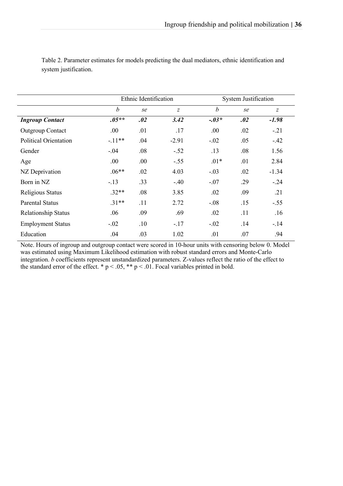|                              |                  | Ethnic Identification |                | <b>System Justification</b> |     |                  |  |  |  |
|------------------------------|------------------|-----------------------|----------------|-----------------------------|-----|------------------|--|--|--|
|                              | $\boldsymbol{b}$ | se                    | $\overline{z}$ | $\boldsymbol{b}$            | se  | $\boldsymbol{Z}$ |  |  |  |
| <b>Ingroup Contact</b>       | $.05**$          | .02                   | 3.42           | $-.03*$                     | .02 | $-1.98$          |  |  |  |
| <b>Outgroup Contact</b>      | .00.             | .01                   | .17            | .00                         | .02 | $-.21$           |  |  |  |
| <b>Political Orientation</b> | $-.11**$         | .04                   | $-2.91$        | $-.02$                      | .05 | $-.42$           |  |  |  |
| Gender                       | $-.04$           | .08                   | $-.52$         | .13                         | .08 | 1.56             |  |  |  |
| Age                          | .00.             | .00                   | $-.55$         | $.01*$                      | .01 | 2.84             |  |  |  |
| NZ Deprivation               | $.06**$          | .02                   | 4.03           | $-.03$                      | .02 | $-1.34$          |  |  |  |
| Born in NZ                   | $-.13$           | .33                   | $-.40$         | $-.07$                      | .29 | $-0.24$          |  |  |  |
| Religious Status             | $.32**$          | .08                   | 3.85           | .02                         | .09 | .21              |  |  |  |
| <b>Parental Status</b>       | $.31**$          | .11                   | 2.72           | $-.08$                      | .15 | $-.55$           |  |  |  |
| Relationship Status          | .06              | .09                   | .69            | .02                         | .11 | .16              |  |  |  |
| <b>Employment Status</b>     | $-.02$           | .10                   | $-.17$         | $-.02$                      | .14 | $-.14$           |  |  |  |
| Education                    | .04              | .03                   | 1.02           | .01                         | .07 | .94              |  |  |  |

Table 2. Parameter estimates for models predicting the dual mediators, ethnic identification and system justification.

Note. Hours of ingroup and outgroup contact were scored in 10-hour units with censoring below 0. Model was estimated using Maximum Likelihood estimation with robust standard errors and Monte-Carlo integration. *b* coefficients represent unstandardized parameters. Z-values reflect the ratio of the effect to the standard error of the effect. \*  $p < .05$ , \*\*  $p < .01$ . Focal variables printed in bold.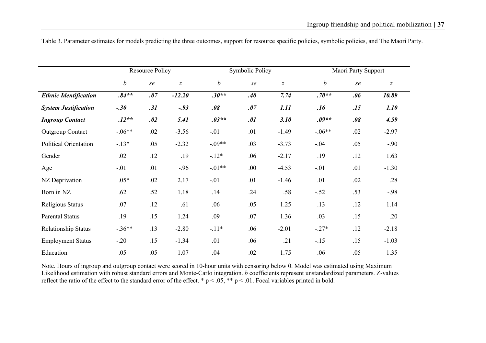|                              |                  | <b>Resource Policy</b> |                  |                  | Symbolic Policy |                  | Maori Party Support |     |                  |  |
|------------------------------|------------------|------------------------|------------------|------------------|-----------------|------------------|---------------------|-----|------------------|--|
|                              | $\boldsymbol{b}$ | se                     | $\boldsymbol{Z}$ | $\boldsymbol{b}$ | se              | $\boldsymbol{Z}$ | $\boldsymbol{b}$    | se  | $\boldsymbol{Z}$ |  |
| <b>Ethnic Identification</b> | $.84**$          | .07                    | $-12.20$         | $.30**$          | .40             | 7.74             | $.70**$             | .06 | 10.89            |  |
| <b>System Justification</b>  | $-.30$           | .31                    | $-93$            | .08              | .07             | 1.11             | .16                 | .15 | 1.10             |  |
| <b>Ingroup Contact</b>       | $.12**$          | .02                    | 5.41             | $.03**$          | .01             | 3.10             | $.09**$             | .08 | 4.59             |  |
| <b>Outgroup Contact</b>      | $-.06**$         | .02                    | $-3.56$          | $-.01$           | .01             | $-1.49$          | $-.06**$            | .02 | $-2.97$          |  |
| Political Orientation        | $-.13*$          | .05                    | $-2.32$          | $-.09**$         | .03             | $-3.73$          | $-.04$              | .05 | $-.90$           |  |
| Gender                       | .02              | .12                    | .19              | $-12*$           | .06             | $-2.17$          | .19                 | .12 | 1.63             |  |
| Age                          | $-.01$           | .01                    | $-.96$           | $-.01**$         | .00.            | $-4.53$          | $-.01$              | .01 | $-1.30$          |  |
| NZ Deprivation               | $.05*$           | .02                    | 2.17             | $-.01$           | .01             | $-1.46$          | .01                 | .02 | .28              |  |
| Born in NZ                   | .62              | .52                    | 1.18             | .14              | .24             | .58              | $-.52$              | .53 | $-.98$           |  |
| Religious Status             | .07              | .12                    | .61              | .06              | .05             | 1.25             | .13                 | .12 | 1.14             |  |
| <b>Parental Status</b>       | .19              | .15                    | 1.24             | .09              | .07             | 1.36             | .03                 | .15 | .20              |  |
| Relationship Status          | $-.36**$         | .13                    | $-2.80$          | $-.11*$          | .06             | $-2.01$          | $-.27*$             | .12 | $-2.18$          |  |
| <b>Employment Status</b>     | $-.20$           | .15                    | $-1.34$          | .01              | .06             | .21              | $-.15$              | .15 | $-1.03$          |  |
| Education                    | .05              | .05                    | 1.07             | .04              | .02             | 1.75             | .06                 | .05 | 1.35             |  |

Table 3. Parameter estimates for models predicting the three outcomes, support for resource specific policies, symbolic policies, and The Maori Party.

Note. Hours of ingroup and outgroup contact were scored in 10-hour units with censoring below 0. Model was estimated using Maximum Likelihood estimation with robust standard errors and Monte-Carlo integration. *b* coefficients represent unstandardized parameters. Z-values reflect the ratio of the effect to the standard error of the effect. \*  $p < .05$ , \*\*  $p < .01$ . Focal variables printed in bold.